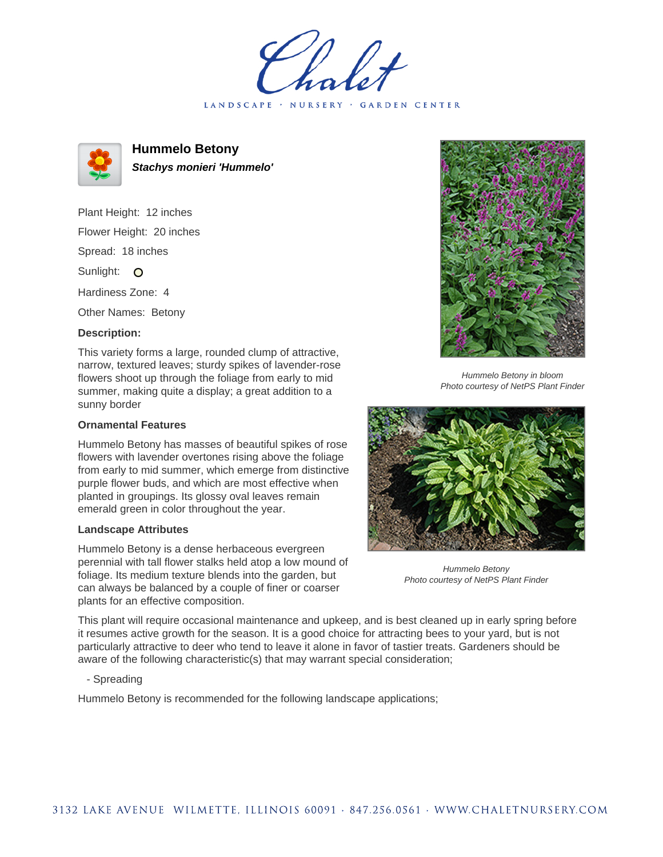LANDSCAPE · NURSERY · GARDEN CENTER



**Hummelo Betony Stachys monieri 'Hummelo'**

Plant Height: 12 inches Flower Height: 20 inches Spread: 18 inches Sunlight: O Hardiness Zone: 4

Other Names: Betony

## **Description:**

This variety forms a large, rounded clump of attractive, narrow, textured leaves; sturdy spikes of lavender-rose flowers shoot up through the foliage from early to mid summer, making quite a display; a great addition to a sunny border

## **Ornamental Features**

Hummelo Betony has masses of beautiful spikes of rose flowers with lavender overtones rising above the foliage from early to mid summer, which emerge from distinctive purple flower buds, and which are most effective when planted in groupings. Its glossy oval leaves remain emerald green in color throughout the year.

## **Landscape Attributes**

Hummelo Betony is a dense herbaceous evergreen perennial with tall flower stalks held atop a low mound of foliage. Its medium texture blends into the garden, but can always be balanced by a couple of finer or coarser plants for an effective composition.



Hummelo Betony in bloom Photo courtesy of NetPS Plant Finder



Hummelo Betony Photo courtesy of NetPS Plant Finder

This plant will require occasional maintenance and upkeep, and is best cleaned up in early spring before it resumes active growth for the season. It is a good choice for attracting bees to your yard, but is not particularly attractive to deer who tend to leave it alone in favor of tastier treats. Gardeners should be aware of the following characteristic(s) that may warrant special consideration;

- Spreading

Hummelo Betony is recommended for the following landscape applications;